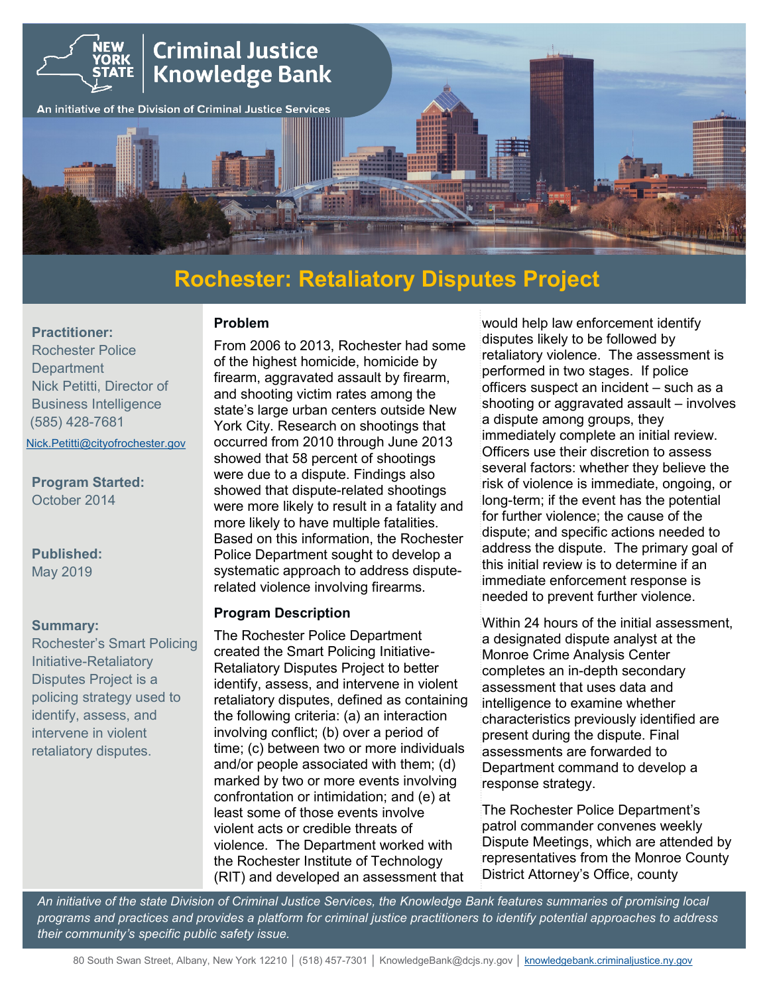

# **Rochester: Retaliatory Disputes Project**

#### **Practitioner:**

Rochester Police **Department** Nick Petitti, Director of Business Intelligence (585) 428-7681

[Nick.Petitti@cityofrochester.gov](mailto:Nick.Petitti@cityofrochester.gov) 

#### **Program Started:** October 2014

# **Published:**

May 2019

#### **Summary:**

Rochester's Smart Policing Initiative-Retaliatory Disputes Project is a policing strategy used to identify, assess, and intervene in violent retaliatory disputes.

From 2006 to 2013, Rochester had some of the highest homicide, homicide by firearm, aggravated assault by firearm, and shooting victim rates among the state's large urban centers outside New York City. Research on shootings that occurred from 2010 through June 2013 showed that 58 percent of shootings were due to a dispute. Findings also showed that dispute-related shootings were more likely to result in a fatality and more likely to have multiple fatalities. Based on this information, the Rochester Police Department sought to develop a systematic approach to address disputerelated violence involving firearms.

#### **Program Description**

**Problem**

The Rochester Police Department created the Smart Policing Initiative-Retaliatory Disputes Project to better identify, assess, and intervene in violent retaliatory disputes, defined as containing the following criteria: (a) an interaction involving conflict; (b) over a period of time; (c) between two or more individuals and/or people associated with them; (d) marked by two or more events involving confrontation or intimidation; and (e) at least some of those events involve violent acts or credible threats of violence. The Department worked with the Rochester Institute of Technology (RIT) and developed an assessment that

would help law enforcement identify disputes likely to be followed by retaliatory violence. The assessment is performed in two stages. If police officers suspect an incident – such as a shooting or aggravated assault – involves a dispute among groups, they immediately complete an initial review. Officers use their discretion to assess several factors: whether they believe the risk of violence is immediate, ongoing, or long-term; if the event has the potential for further violence; the cause of the dispute; and specific actions needed to address the dispute. The primary goal of this initial review is to determine if an immediate enforcement response is needed to prevent further violence.

Within 24 hours of the initial assessment, a designated dispute analyst at the Monroe Crime Analysis Center completes an in-depth secondary assessment that uses data and intelligence to examine whether characteristics previously identified are present during the dispute. Final assessments are forwarded to Department command to develop a response strategy.

The Rochester Police Department's patrol commander convenes weekly Dispute Meetings, which are attended by representatives from the Monroe County District Attorney's Office, county

*An initiative of the state Division of Criminal Justice Services, the Knowledge Bank features summaries of promising local programs and practices and provides a platform for criminal justice practitioners to identify potential approaches to address their community's specific public safety issue.*